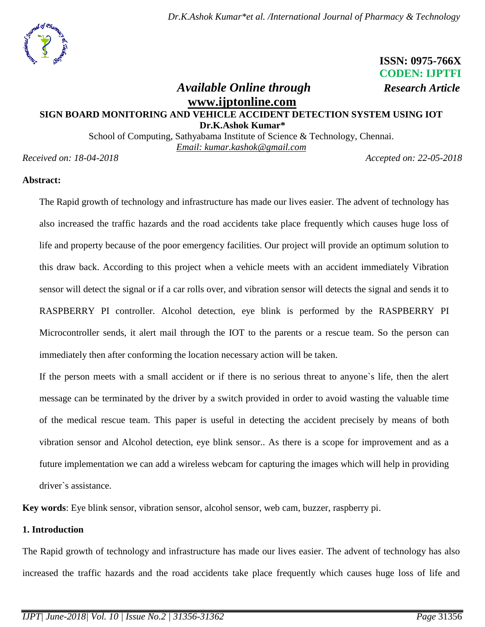

# **ISSN: 0975-766X CODEN: IJPTFI**

# *<i>Available Online through Research Article*

#### **[www.ijptonline.com](http://www.ijptonline.com/) SIGN BOARD MONITORING AND VEHICLE ACCIDENT DETECTION SYSTEM USING IOT Dr.K.Ashok Kumar\***

School of Computing, Sathyabama Institute of Science & Technology, Chennai. *Email: kumar.kashok@gmail.com*

*Received on: 18-04-2018 Accepted on: 22-05-2018*

# **Abstract:**

The Rapid growth of technology and infrastructure has made our lives easier. The advent of technology has also increased the traffic hazards and the road accidents take place frequently which causes huge loss of life and property because of the poor emergency facilities. Our project will provide an optimum solution to this draw back. According to this project when a vehicle meets with an accident immediately Vibration sensor will detect the signal or if a car rolls over, and vibration sensor will detects the signal and sends it to RASPBERRY PI controller. Alcohol detection, eye blink is performed by the RASPBERRY PI Microcontroller sends, it alert mail through the IOT to the parents or a rescue team. So the person can immediately then after conforming the location necessary action will be taken.

If the person meets with a small accident or if there is no serious threat to anyone`s life, then the alert message can be terminated by the driver by a switch provided in order to avoid wasting the valuable time of the medical rescue team. This paper is useful in detecting the accident precisely by means of both vibration sensor and Alcohol detection, eye blink sensor.. As there is a scope for improvement and as a future implementation we can add a wireless webcam for capturing the images which will help in providing driver`s assistance.

**Key words**: Eye blink sensor, vibration sensor, alcohol sensor, web cam, buzzer, raspberry pi.

# **1. Introduction**

The Rapid growth of technology and infrastructure has made our lives easier. The advent of technology has also increased the traffic hazards and the road accidents take place frequently which causes huge loss of life and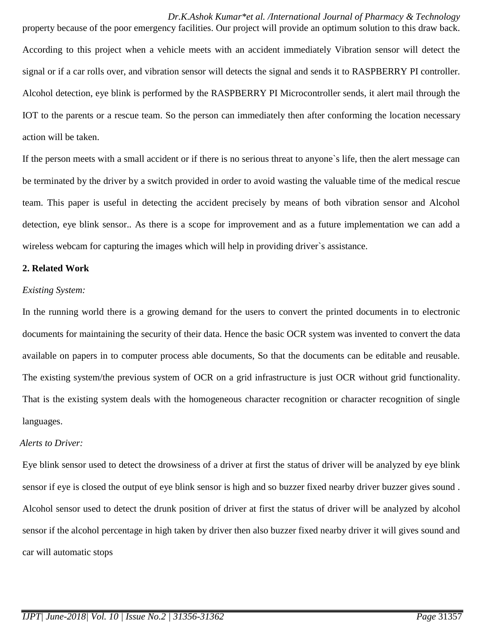#### *Dr.K.Ashok Kumar\*et al. /International Journal of Pharmacy & Technology*

property because of the poor emergency facilities. Our project will provide an optimum solution to this draw back. According to this project when a vehicle meets with an accident immediately Vibration sensor will detect the signal or if a car rolls over, and vibration sensor will detects the signal and sends it to RASPBERRY PI controller. Alcohol detection, eye blink is performed by the RASPBERRY PI Microcontroller sends, it alert mail through the IOT to the parents or a rescue team. So the person can immediately then after conforming the location necessary action will be taken.

If the person meets with a small accident or if there is no serious threat to anyone`s life, then the alert message can be terminated by the driver by a switch provided in order to avoid wasting the valuable time of the medical rescue team. This paper is useful in detecting the accident precisely by means of both vibration sensor and Alcohol detection, eye blink sensor.. As there is a scope for improvement and as a future implementation we can add a wireless webcam for capturing the images which will help in providing driver's assistance.

#### **2. Related Work**

#### *Existing System:*

In the running world there is a growing demand for the users to convert the printed documents in to electronic documents for maintaining the security of their data. Hence the basic OCR system was invented to convert the data available on papers in to computer process able documents, So that the documents can be editable and reusable. The existing system/the previous system of OCR on a grid infrastructure is just OCR without grid functionality. That is the existing system deals with the homogeneous character recognition or character recognition of single languages.

#### *Alerts to Driver:*

Eye blink sensor used to detect the drowsiness of a driver at first the status of driver will be analyzed by eye blink sensor if eye is closed the output of eye blink sensor is high and so buzzer fixed nearby driver buzzer gives sound *.*  Alcohol sensor used to detect the drunk position of driver at first the status of driver will be analyzed by alcohol sensor if the alcohol percentage in high taken by driver then also buzzer fixed nearby driver it will gives sound and car will automatic stops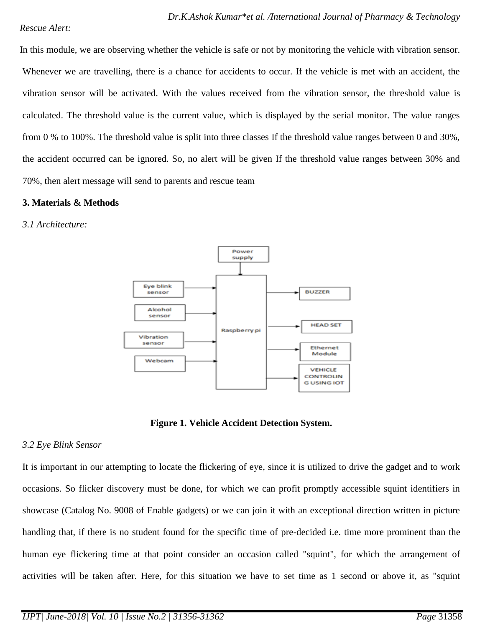#### *Rescue Alert:*

In this module, we are observing whether the vehicle is safe or not by monitoring the vehicle with vibration sensor. Whenever we are travelling, there is a chance for accidents to occur. If the vehicle is met with an accident, the vibration sensor will be activated. With the values received from the vibration sensor, the threshold value is calculated. The threshold value is the current value, which is displayed by the serial monitor. The value ranges from 0 % to 100%. The threshold value is split into three classes If the threshold value ranges between 0 and 30%, the accident occurred can be ignored. So, no alert will be given If the threshold value ranges between 30% and 70%, then alert message will send to parents and rescue team

#### **3. Materials & Methods**

*3.1 Architecture:*



**Figure 1. Vehicle Accident Detection System.**

#### *3.2 Eye Blink Sensor*

It is important in our attempting to locate the flickering of eye, since it is utilized to drive the gadget and to work occasions. So flicker discovery must be done, for which we can profit promptly accessible squint identifiers in showcase (Catalog No. 9008 of Enable gadgets) or we can join it with an exceptional direction written in picture handling that, if there is no student found for the specific time of pre-decided i.e. time more prominent than the human eye flickering time at that point consider an occasion called "squint", for which the arrangement of activities will be taken after. Here, for this situation we have to set time as 1 second or above it, as "squint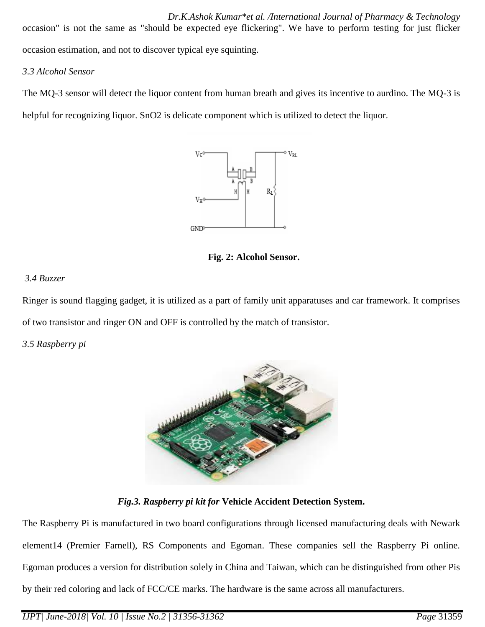*Dr.K.Ashok Kumar\*et al. /International Journal of Pharmacy & Technology* occasion" is not the same as "should be expected eye flickering". We have to perform testing for just flicker occasion estimation, and not to discover typical eye squinting.

# *3.3 Alcohol Sensor*

The MQ-3 sensor will detect the liquor content from human breath and gives its incentive to aurdino. The MQ-3 is helpful for recognizing liquor. SnO2 is delicate component which is utilized to detect the liquor.





# *3.4 Buzzer*

Ringer is sound flagging gadget, it is utilized as a part of family unit apparatuses and car framework. It comprises of two transistor and ringer ON and OFF is controlled by the match of transistor.

*3.5 Raspberry pi*



*Fig.3. Raspberry pi kit for* **Vehicle Accident Detection System.**

The Raspberry Pi is manufactured in two board configurations through licensed manufacturing deals with Newark element14 (Premier Farnell), RS Components and Egoman. These companies sell the Raspberry Pi online. Egoman produces a version for distribution solely in China and Taiwan, which can be distinguished from other Pis by their red coloring and lack of FCC/CE marks. The hardware is the same across all manufacturers.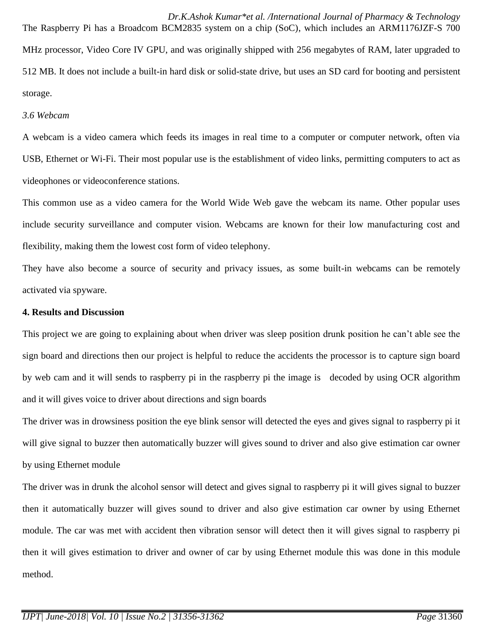*Dr.K.Ashok Kumar\*et al. /International Journal of Pharmacy & Technology* The Raspberry Pi has a Broadcom BCM2835 system on a chip (SoC), which includes an ARM1176JZF-S 700 MHz processor, Video Core IV GPU, and was originally shipped with 256 megabytes of RAM, later upgraded to 512 MB. It does not include a built-in hard disk or solid-state drive, but uses an SD card for booting and persistent storage.

#### *3.6 Webcam*

A webcam is a video camera which feeds its images in real time to a computer or computer network, often via USB, Ethernet or Wi-Fi. Their most popular use is the establishment of video links, permitting computers to act as videophones or videoconference stations.

This common use as a video camera for the World Wide Web gave the webcam its name. Other popular uses include security surveillance and computer vision. Webcams are known for their low manufacturing cost and flexibility, making them the lowest cost form of video telephony.

They have also become a source of security and privacy issues, as some built-in webcams can be remotely activated via spyware.

#### **4. Results and Discussion**

This project we are going to explaining about when driver was sleep position drunk position he can't able see the sign board and directions then our project is helpful to reduce the accidents the processor is to capture sign board by web cam and it will sends to raspberry pi in the raspberry pi the image is decoded by using OCR algorithm and it will gives voice to driver about directions and sign boards

The driver was in drowsiness position the eye blink sensor will detected the eyes and gives signal to raspberry pi it will give signal to buzzer then automatically buzzer will gives sound to driver and also give estimation car owner by using Ethernet module

The driver was in drunk the alcohol sensor will detect and gives signal to raspberry pi it will gives signal to buzzer then it automatically buzzer will gives sound to driver and also give estimation car owner by using Ethernet module. The car was met with accident then vibration sensor will detect then it will gives signal to raspberry pi then it will gives estimation to driver and owner of car by using Ethernet module this was done in this module method.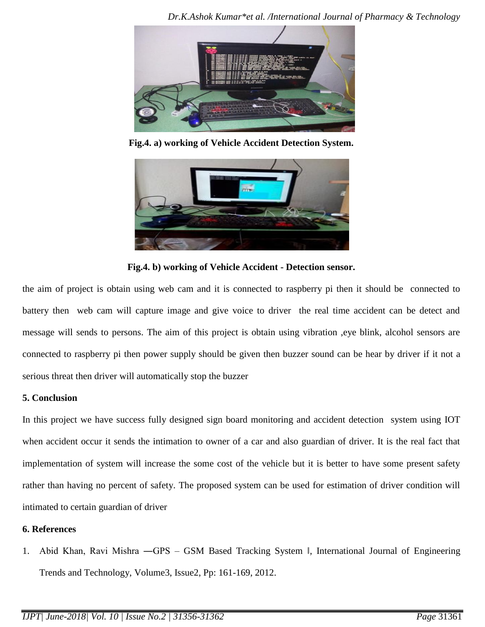

**Fig.4. a) working of Vehicle Accident Detection System.**



**Fig.4. b) working of Vehicle Accident - Detection sensor.**

the aim of project is obtain using web cam and it is connected to raspberry pi then it should be connected to battery then web cam will capture image and give voice to driver the real time accident can be detect and message will sends to persons. The aim of this project is obtain using vibration ,eye blink, alcohol sensors are connected to raspberry pi then power supply should be given then buzzer sound can be hear by driver if it not a serious threat then driver will automatically stop the buzzer

# **5. Conclusion**

In this project we have success fully designed sign board monitoring and accident detection system using IOT when accident occur it sends the intimation to owner of a car and also guardian of driver. It is the real fact that implementation of system will increase the some cost of the vehicle but it is better to have some present safety rather than having no percent of safety. The proposed system can be used for estimation of driver condition will intimated to certain guardian of driver

# **6. References**

1. Abid Khan, Ravi Mishra —GPS – GSM Based Tracking System I, International Journal of Engineering Trends and Technology, Volume3, Issue2, Pp: 161-169, 2012.